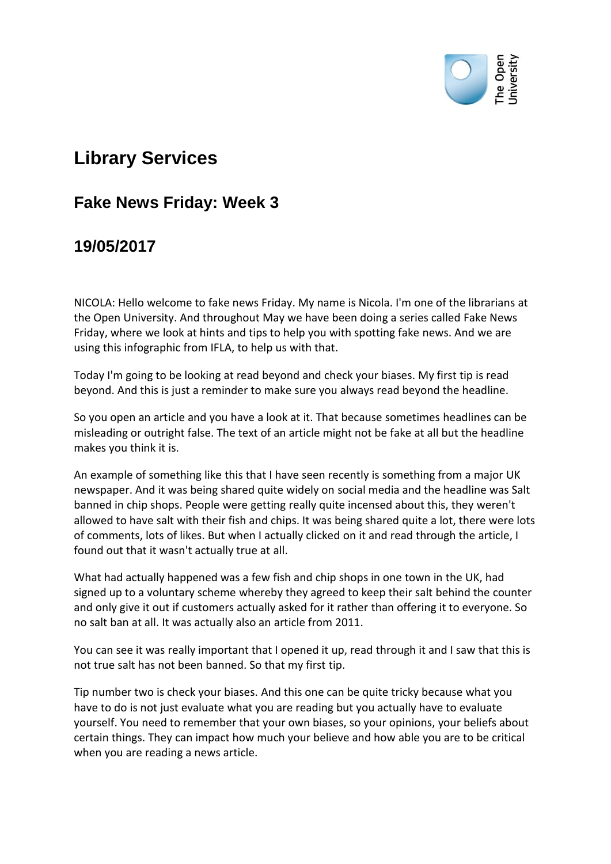

## **Library Services**

## **Fake News Friday: Week 3**

## **19/05/2017**

NICOLA: Hello welcome to fake news Friday. My name is Nicola. I'm one of the librarians at the Open University. And throughout May we have been doing a series called Fake News Friday, where we look at hints and tips to help you with spotting fake news. And we are using this infographic from IFLA, to help us with that.

Today I'm going to be looking at read beyond and check your biases. My first tip is read beyond. And this is just a reminder to make sure you always read beyond the headline.

So you open an article and you have a look at it. That because sometimes headlines can be misleading or outright false. The text of an article might not be fake at all but the headline makes you think it is.

An example of something like this that I have seen recently is something from a major UK newspaper. And it was being shared quite widely on social media and the headline was Salt banned in chip shops. People were getting really quite incensed about this, they weren't allowed to have salt with their fish and chips. It was being shared quite a lot, there were lots of comments, lots of likes. But when I actually clicked on it and read through the article, I found out that it wasn't actually true at all.

What had actually happened was a few fish and chip shops in one town in the UK, had signed up to a voluntary scheme whereby they agreed to keep their salt behind the counter and only give it out if customers actually asked for it rather than offering it to everyone. So no salt ban at all. It was actually also an article from 2011.

You can see it was really important that I opened it up, read through it and I saw that this is not true salt has not been banned. So that my first tip.

Tip number two is check your biases. And this one can be quite tricky because what you have to do is not just evaluate what you are reading but you actually have to evaluate yourself. You need to remember that your own biases, so your opinions, your beliefs about certain things. They can impact how much your believe and how able you are to be critical when you are reading a news article.